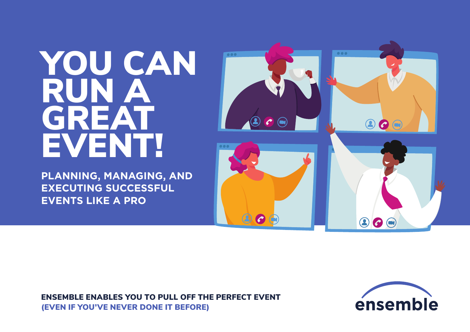# YOU CAN RUN A GREAT **EVENT!**

**PLANNING, MANAGING, AND EXECUTING SUCCESSFUL EVENTS LIKE A PRO**



ENSEMBLE ENABLES YOU TO PULL OFF THE PERFECT EVENT (EVEN IF YOU'VE NEVER DONE IT BEFORE)

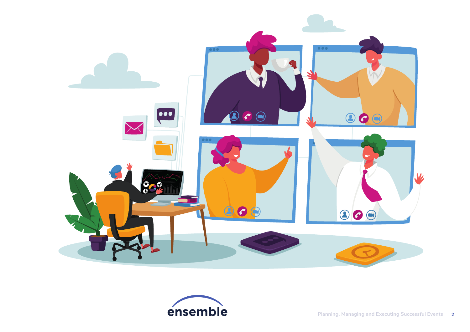

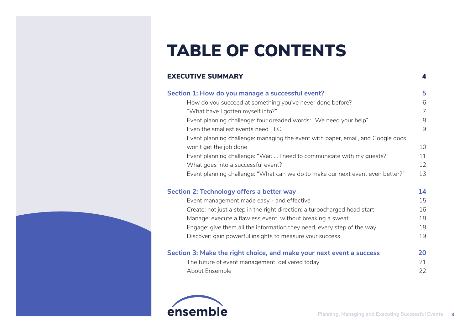### TABLE OF CONTENTS

| <b>EXECUTIVE SUMMARY</b>                                                        | 4  |
|---------------------------------------------------------------------------------|----|
| Section 1: How do you manage a successful event?                                | 5  |
| How do you succeed at something you've never done before?                       | 6  |
| "What have I gotten myself into?"                                               | 7  |
| Event planning challenge: four dreaded words: "We need your help"               | 8  |
| Even the smallest events need TLC                                               | 9  |
| Event planning challenge: managing the event with paper, email, and Google docs |    |
| won't get the job done                                                          | 10 |
| Event planning challenge: "Wait  I need to communicate with my guests?"         | 11 |
| What goes into a successful event?                                              | 12 |
| Event planning challenge: "What can we do to make our next event even better?"  | 13 |
| Section 2: Technology offers a better way                                       | 14 |
| Event management made easy - and effective                                      | 15 |
| Create: not just a step in the right direction: a turbocharged head start       | 16 |
| Manage: execute a flawless event, without breaking a sweat                      | 18 |
| Engage: give them all the information they need, every step of the way          | 18 |
| Discover: gain powerful insights to measure your success                        | 19 |
| Section 3: Make the right choice, and make your next event a success            | 20 |
| The future of event management, delivered today                                 | 21 |
| About Ensemble                                                                  | 22 |

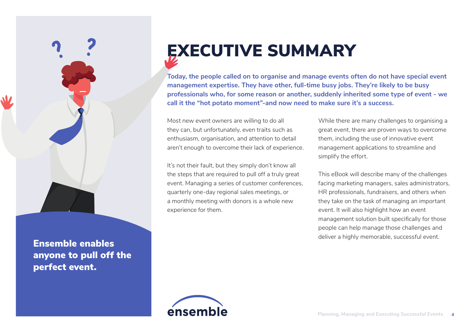### **EXECUTIVE SUMMARY**

**Today, the people called on to organise and manage events often do not have special event management expertise. They have other, full-time busy jobs. They're likely to be busy professionals who, for some reason or another, suddenly inherited some type of event - we call it the "hot potato moment"-and now need to make sure it's a success.**

Most new event owners are willing to do all they can, but unfortunately, even traits such as enthusiasm, organisation, and attention to detail aren't enough to overcome their lack of experience.

It's not their fault, but they simply don't know all the steps that are required to pull off a truly great event. Managing a series of customer conferences, quarterly one-day regional sales meetings, or a monthly meeting with donors is a whole new experience for them.

While there are many challenges to organising a great event, there are proven ways to overcome them, including the use of innovative event management applications to streamline and simplify the effort.

This eBook will describe many of the challenges facing marketing managers, sales administrators, HR professionals, fundraisers, and others when they take on the task of managing an important event. It will also highlight how an event management solution built specifically for those people can help manage those challenges and deliver a highly memorable, successful event.

Ensemble enables anyone to pull off the perfect event.

?

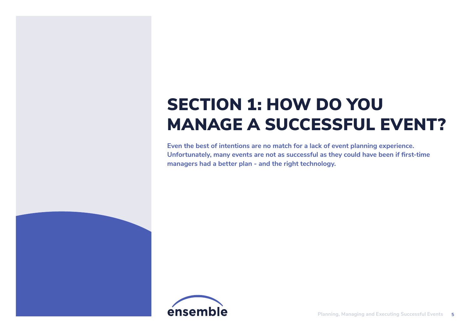### SECTION 1: HOW DO YOU MANAGE A SUCCESSFUL EVENT?

**Even the best of intentions are no match for a lack of event planning experience. Unfortunately, many events are not as successful as they could have been if first-time managers had a better plan - and the right technology.**

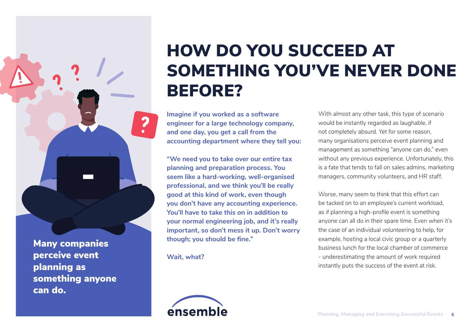### HOW DO YOU SUCCEED AT SOMETHING YOU'VE NEVER DONE BEFORE?

**Imagine if you worked as a software engineer for a large technology company, and one day, you get a call from the accounting department where they tell you:** 

**"We need you to take over our entire tax planning and preparation process. You seem like a hard-working, well-organised professional, and we think you'll be really good at this kind of work, even though you don't have any accounting experience. You'll have to take this on in addition to your normal engineering job, and it's really important, so don't mess it up. Don't worry though; you should be fine."**

**Wait, what?** 

?

Many companies

?

 $\mathbf{?}$ 

something anyone

perceive event

planning as

can do.

With almost any other task, this type of scenario would be instantly regarded as laughable, if not completely absurd. Yet for some reason, many organisations perceive event planning and management as something "anyone can do," even without any previous experience. Unfortunately, this is a fate that tends to fall on sales admins, marketing managers, community volunteers, and HR staff.

Worse, many seem to think that this effort can be tacked on to an employee's current workload, as if planning a high-profile event is something anyone can all do in their spare time. Even when it's the case of an individual volunteering to help, for example, hosting a local civic group or a quarterly business lunch for the local chamber of commerce - underestimating the amount of work required instantly puts the success of the event at risk.

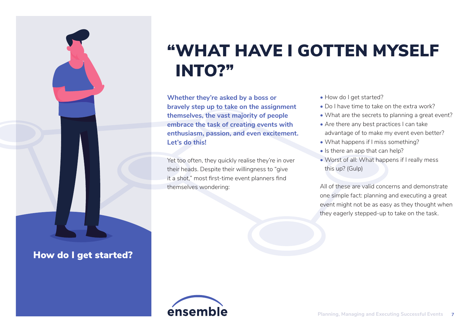### "WHAT HAVE I GOTTEN MYSELF INTO?"

**Whether they're asked by a boss or bravely step up to take on the assignment themselves, the vast majority of people embrace the task of creating events with enthusiasm, passion, and even excitement. Let's do this!**

Yet too often, they quickly realise they're in over their heads. Despite their willingness to "give it a shot," most first-time event planners find themselves wondering:

- How do I get started?
- Do I have time to take on the extra work?
- What are the secrets to planning a great event?
- Are there any best practices I can take advantage of to make my event even better?
- What happens if I miss something?
- Is there an app that can help?
- Worst of all: What happens if I really mess this up? (Gulp)

All of these are valid concerns and demonstrate one simple fact: planning and executing a great event might not be as easy as they thought when they eagerly stepped-up to take on the task.



How do I get started?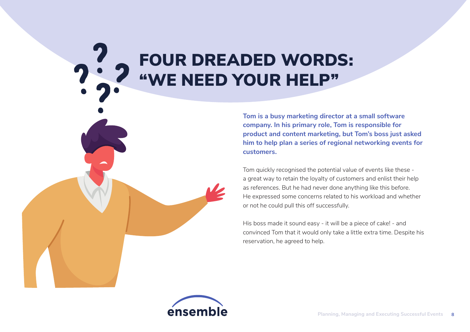### FOUR DREADED WORDS: "WE NEED YOUR HELP"

**Tom is a busy marketing director at a small software company. In his primary role, Tom is responsible for product and content marketing, but Tom's boss just asked him to help plan a series of regional networking events for customers.** 

Tom quickly recognised the potential value of events like these a great way to retain the loyalty of customers and enlist their help as references. But he had never done anything like this before. He expressed some concerns related to his workload and whether or not he could pull this off successfully.

His boss made it sound easy - it will be a piece of cake! - and convinced Tom that it would only take a little extra time. Despite his reservation, he agreed to help.



 $2.2$ <br> $2.2$ <br> $2.2$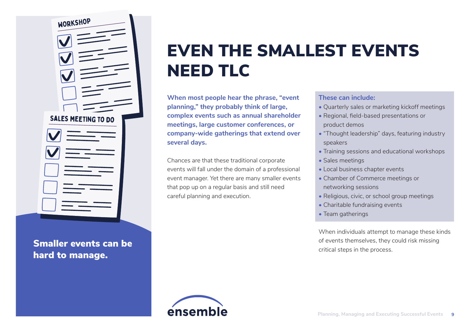| WORKSHOP                   |
|----------------------------|
|                            |
| <b>SALES MEETING TO DO</b> |
| IV.                        |
|                            |
|                            |
|                            |
|                            |

Smaller events can be hard to manage.

### EVEN THE SMALLEST EVENTS NEED TLC

**When most people hear the phrase, "event planning," they probably think of large, complex events such as annual shareholder meetings, large customer conferences, or company-wide gatherings that extend over several days.**

Chances are that these traditional corporate events will fall under the domain of a professional event manager. Yet there are many smaller events that pop up on a regular basis and still need careful planning and execution.

#### **These can include:**

- Quarterly sales or marketing kickoff meetings
- Regional, field-based presentations or product demos
- "Thought leadership" days, featuring industry speakers
- Training sessions and educational workshops
- Sales meetings
- Local business chapter events
- Chamber of Commerce meetings or networking sessions
- Religious, civic, or school group meetings
- Charitable fundraising events
- Team gatherings

When individuals attempt to manage these kinds of events themselves, they could risk missing critical steps in the process.

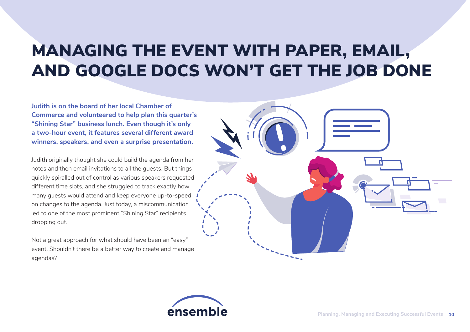### MANAGING THE EVENT WITH PAPER, EMAIL, AND GOOGLE DOCS WON'T GET THE JOB DONE

**Judith is on the board of her local Chamber of Commerce and volunteered to help plan this quarter's "Shining Star" business lunch. Even though it's only a two-hour event, it features several different award winners, speakers, and even a surprise presentation.**

Judith originally thought she could build the agenda from her notes and then email invitations to all the guests. But things quickly spiralled out of control as various speakers requested different time slots, and she struggled to track exactly how many guests would attend and keep everyone up-to-speed on changes to the agenda. Just today, a miscommunication led to one of the most prominent "Shining Star" recipients dropping out.

Not a great approach for what should have been an "easy" event! Shouldn't there be a better way to create and manage agendas?



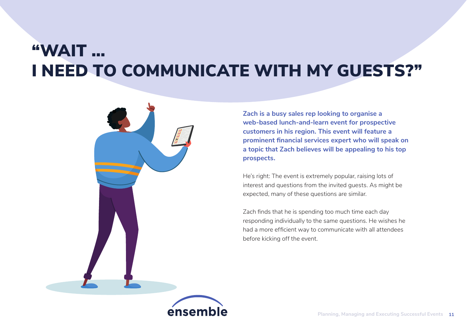### "WAIT … I NEED TO COMMUNICATE WITH MY GUESTS?"



**Zach is a busy sales rep looking to organise a web-based lunch-and-learn event for prospective customers in his region. This event will feature a prominent financial services expert who will speak on a topic that Zach believes will be appealing to his top prospects.**

He's right: The event is extremely popular, raising lots of interest and questions from the invited guests. As might be expected, many of these questions are similar.

Zach finds that he is spending too much time each day responding individually to the same questions. He wishes he had a more efficient way to communicate with all attendees before kicking off the event.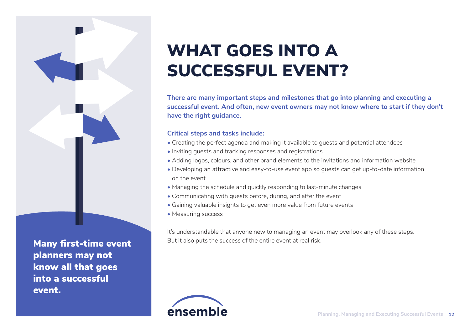### WHAT GOES INTO A SUCCESSFUL EVENT?

**There are many important steps and milestones that go into planning and executing a successful event. And often, new event owners may not know where to start if they don't have the right guidance.** 

#### **Critical steps and tasks include:**

- Creating the perfect agenda and making it available to guests and potential attendees
- Inviting guests and tracking responses and registrations
- Adding logos, colours, and other brand elements to the invitations and information website
- Developing an attractive and easy-to-use event app so guests can get up-to-date information on the event
- Managing the schedule and quickly responding to last-minute changes
- Communicating with guests before, during, and after the event
- Gaining valuable insights to get even more value from future events
- Measuring success

It's understandable that anyone new to managing an event may overlook any of these steps. But it also puts the success of the entire event at real risk.



Many first-time event planners may not know all that goes into a successful event.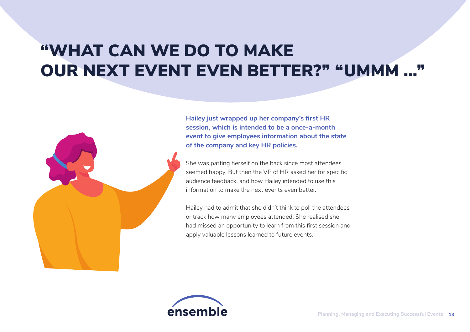### "WHAT CAN WE DO TO MAKE OUR NEXT EVENT EVEN BETTER?" "UMMM …"



**Hailey just wrapped up her company's first HR session, which is intended to be a once-a-month event to give employees information about the state of the company and key HR policies.**

She was patting herself on the back since most attendees seemed happy. But then the VP of HR asked her for specific audience feedback, and how Hailey intended to use this information to make the next events even better

Hailey had to admit that she didn't think to poll the attendees or track how many employees attended. She realised she had missed an opportunity to learn from this first session and apply valuable lessons learned to future events.

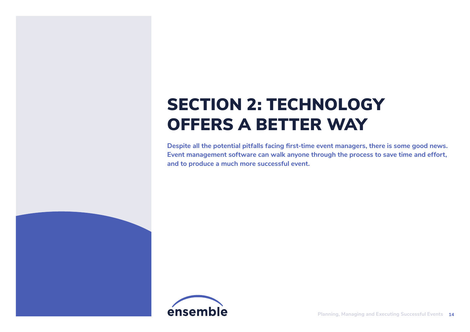### SECTION 2: TECHNOLOGY OFFERS A BETTER WAY

**Despite all the potential pitfalls facing first-time event managers, there is some good news. Event management software can walk anyone through the process to save time and effort, and to produce a much more successful event.**

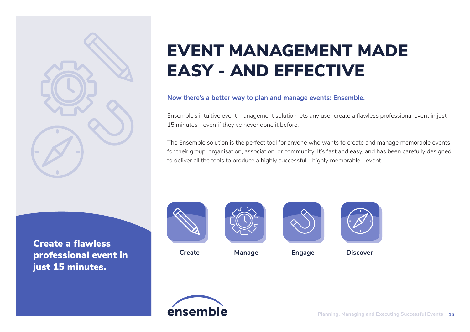

### EVENT MANAGEMENT MADE EASY - AND EFFECTIVE

#### **Now there's a better way to plan and manage events: Ensemble.**

Ensemble's intuitive event management solution lets any user create a flawless professional event in just 15 minutes - even if they've never done it before.

The Ensemble solution is the perfect tool for anyone who wants to create and manage memorable events for their group, organisation, association, or community. It's fast and easy, and has been carefully designed to deliver all the tools to produce a highly successful - highly memorable - event.

Create a flawless professional event in just 15 minutes.









**Create Manage Engage Discover**

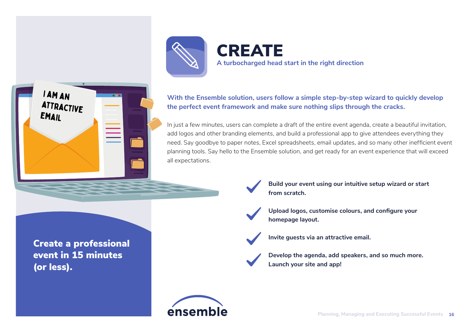

**CREATE A turbocharged head start in the right direction**



**With the Ensemble solution, users follow a simple step-by-step wizard to quickly develop the perfect event framework and make sure nothing slips through the cracks.**

In just a few minutes, users can complete a draft of the entire event agenda, create a beautiful invitation, add logos and other branding elements, and build a professional app to give attendees everything they need. Say goodbye to paper notes, Excel spreadsheets, email updates, and so many other inefficient event planning tools. Say hello to the Ensemble solution, and get ready for an event experience that will exceed all expectations.

Create a professional event in 15 minutes (or less).



**Build your event using our intuitive setup wizard or start from scratch.**

**Upload logos, customise colours, and configure your homepage layout.**



**Invite guests via an attractive email.**

**Develop the agenda, add speakers, and so much more. Launch your site and app!**

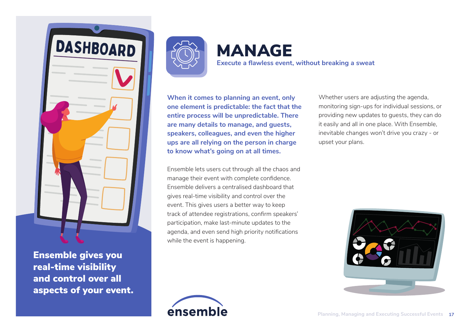

Ensemble gives you real-time visibility and control over all aspects of your event.



## MANAGE

**Execute a flawless event, without breaking a sweat**

**When it comes to planning an event, only one element is predictable: the fact that the entire process will be unpredictable. There are many details to manage, and guests, speakers, colleagues, and even the higher ups are all relying on the person in charge to know what's going on at all times.**

Ensemble lets users cut through all the chaos and manage their event with complete confidence. Ensemble delivers a centralised dashboard that gives real-time visibility and control over the event. This gives users a better way to keep track of attendee registrations, confirm speakers' participation, make last-minute updates to the agenda, and even send high priority notifications while the event is happening.

Whether users are adjusting the agenda, monitoring sign-ups for individual sessions, or providing new updates to guests, they can do it easily and all in one place. With Ensemble, inevitable changes won't drive you crazy - or upset your plans.



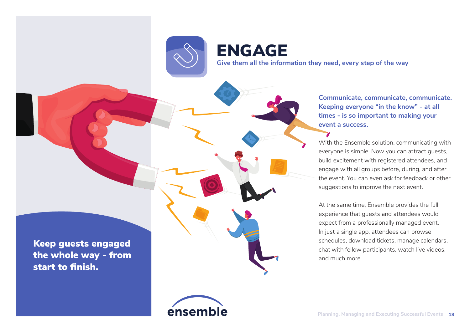

ENGAGE

**Give them all the information they need, every step of the way**

Keep guests engaged the whole way - from start to finish.



**Communicate, communicate, communicate. Keeping everyone "in the know" - at all times - is so important to making your event a success.**

With the Ensemble solution, communicating with everyone is simple. Now you can attract guests, build excitement with registered attendees, and engage with all groups before, during, and after the event. You can even ask for feedback or other suggestions to improve the next event.

At the same time, Ensemble provides the full experience that guests and attendees would expect from a professionally managed event. In just a single app, attendees can browse schedules, download tickets, manage calendars, chat with fellow participants, watch live videos, and much more.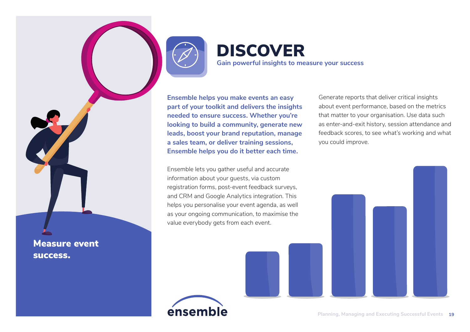

**DISCOVER Gain powerful insights to measure your success**

**Ensemble helps you make events an easy part of your toolkit and delivers the insights needed to ensure success. Whether you're looking to build a community, generate new leads, boost your brand reputation, manage a sales team, or deliver training sessions, Ensemble helps you do it better each time.**

Ensemble lets you gather useful and accurate information about your guests, via custom registration forms, post-event feedback surveys, and CRM and Google Analytics integration. This helps you personalise your event agenda, as well as your ongoing communication, to maximise the value everybody gets from each event.

ensemble

Generate reports that deliver critical insights about event performance, based on the metrics that matter to your organisation. Use data such as enter-and-exit history, session attendance and feedback scores, to see what's working and what you could improve.

success.

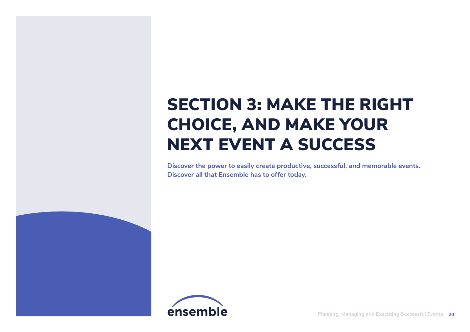### SECTION 3: MAKE THE RIGHT CHOICE, AND MAKE YOUR NEXT EVENT A SUCCESS

**Discover the power to easily create productive, successful, and memorable events. Discover all that Ensemble has to offer today.**



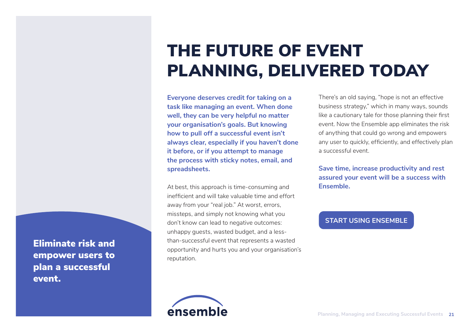### THE FUTURE OF EVENT PLANNING, DELIVERED TODAY

**Everyone deserves credit for taking on a task like managing an event. When done well, they can be very helpful no matter your organisation's goals. But knowing how to pull off a successful event isn't always clear, especially if you haven't done it before, or if you attempt to manage the process with sticky notes, email, and spreadsheets.** 

At best, this approach is time-consuming and inefficient and will take valuable time and effort away from your "real job." At worst, errors, missteps, and simply not knowing what you don't know can lead to negative outcomes: unhappy guests, wasted budget, and a lessthan-successful event that represents a wasted opportunity and hurts you and your organisation's reputation.

There's an old saying, "hope is not an effective business strategy," which in many ways, sounds like a cautionary tale for those planning their first event. Now the Ensemble app eliminates the risk of anything that could go wrong and empowers any user to quickly, efficiently, and effectively plan a successful event.

**Save time, increase productivity and rest assured your event will be a success with Ensemble.**

#### **START USING ENSEMBLE**

Eliminate risk and empower users to plan a successful event.

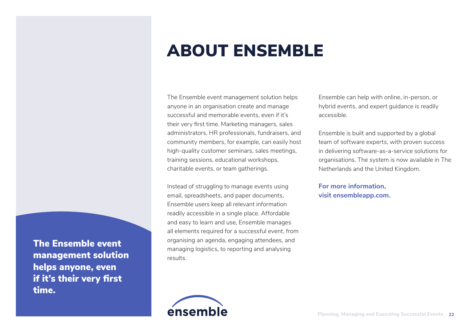### ABOUT ENSEMBLE

The Ensemble event management solution helps anyone in an organisation create and manage successful and memorable events, even if it's their very first time. Marketing managers, sales administrators, HR professionals, fundraisers, and community members, for example, can easily host high-quality customer seminars, sales meetings, training sessions, educational workshops, charitable events, or team gatherings.

Instead of struggling to manage events using email, spreadsheets, and paper documents, Ensemble users keep all relevant information readily accessible in a single place. Affordable and easy to learn and use, Ensemble manages all elements required for a successful event, from organising an agenda, engaging attendees, and managing logistics, to reporting and analysing results.

Ensemble can help with online, in-person, or hybrid events, and expert guidance is readily accessible.

Ensemble is built and supported by a global team of software experts, with proven success in delivering software-as-a-service solutions for organisations. The system is now available in The Netherlands and the United Kingdom.

**For more information, visit ensembleapp.com.**

The Ensemble event management solution helps anyone, even if it's their very first time.